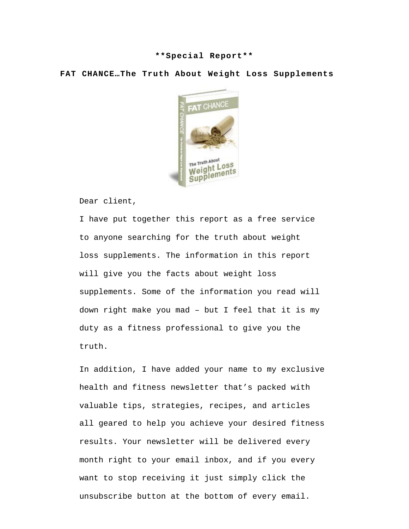## **\*\*Special Report\*\***

**FAT CHANCE…The Truth About Weight Loss Supplements**



Dear client,

I have put together this report as a free service to anyone searching for the truth about weight loss supplements. The information in this report will give you the facts about weight loss supplements. Some of the information you read will down right make you mad – but I feel that it is my duty as a fitness professional to give you the truth.

In addition, I have added your name to my exclusive health and fitness newsletter that's packed with valuable tips, strategies, recipes, and articles all geared to help you achieve your desired fitness results. Your newsletter will be delivered every month right to your email inbox, and if you every want to stop receiving it just simply click the unsubscribe button at the bottom of every email.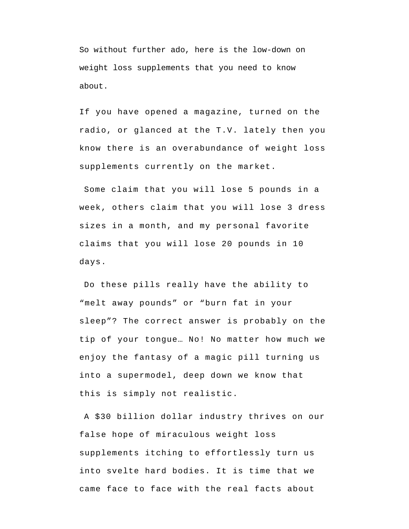So without further ado, here is the low-down on weight loss supplements that you need to know about.

If you have opened a magazine, turned on the radio, or glanced at the T.V. lately then you know there is an overabundance of weight loss supplements currently on the market.

Some claim that you will lose 5 pounds in a week, others claim that you will lose 3 dress sizes in a month, and my personal favorite claims that you will lose 20 pounds in 10 days.

Do these pills really have the ability to "melt away pounds" or "burn fat in your sleep"? The correct answer is probably on the tip of your tongue… No! No matter how much we enjoy the fantasy of a magic pill turning us into a supermodel, deep down we know that this is simply not realistic.

A \$30 billion dollar industry thrives on our false hope of miraculous weight loss supplements itching to effortlessly turn us into svelte hard bodies. It is time that we came face to face with the real facts about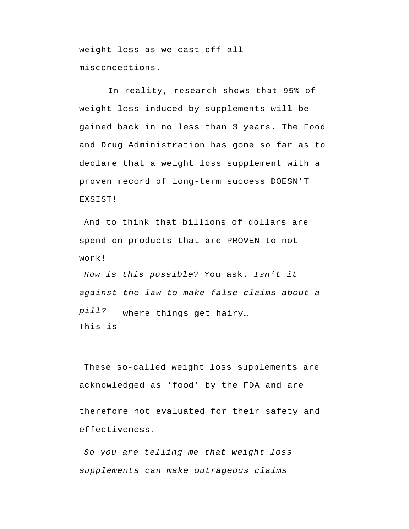weight loss as we cast off all misconceptions.

In reality, research shows that 95% of weight loss induced by supplements will be gained back in no less than 3 years. The Food and Drug Administration has gone so far as to declare that a weight loss supplement with a proven record of long-term success DOESN'T EXSIST!

And to think that billions of dollars are spend on products that are PROVEN to not work!

*How is this possible*? You ask. *Isn't it against the law to make false claims about a pill?* This is where things get hairy…

These so-called weight loss supplements are acknowledged as 'food' by the FDA and are

therefore not evaluated for their safety and effectiveness.

*So you are telling me that weight loss supplements can make outrageous claims*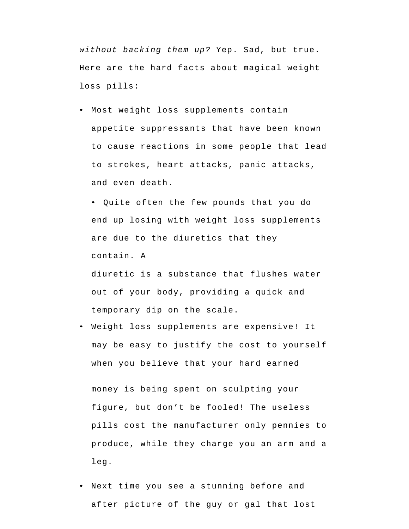*without backing them up?* Yep. Sad, but true. Here are the hard facts about magical weight loss pills:

• Most weight loss supplements contain appetite suppressants that have been known to cause reactions in some people that lead to strokes, heart attacks, panic attacks, and even death.

• Quite often the few pounds that you do end up losing with weight loss supplements are due to the diuretics that they contain. A

diuretic is a substance that flushes water out of your body, providing a quick and temporary dip on the scale.

• Weight loss supplements are expensive! It may be easy to justify the cost to yourself when you believe that your hard earned

money is being spent on sculpting your figure, but don't be fooled! The useless pills cost the manufacturer only pennies to produce, while they charge you an arm and a leg.

Next time you see a stunning before and after picture of the guy or gal that lost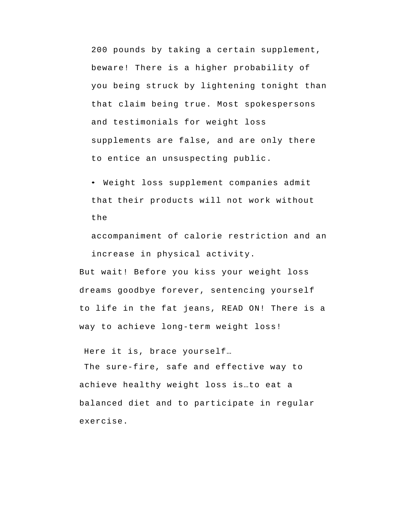200 pounds by taking a certain supplement, beware! There is a higher probability of you being struck by lightening tonight than that claim being true. Most spokespersons and testimonials for weight loss supplements are false, and are only there to entice an unsuspecting public.

• Weight loss supplement companies admit that their products will not work without the

accompaniment of calorie restriction and an increase in physical activity.

But wait! Before you kiss your weight loss dreams goodbye forever, sentencing yourself to life in the fat jeans, READ ON! There is a way to achieve long-term weight loss!

Here it is, brace yourself…

The sure-fire, safe and effective way to achieve healthy weight loss is…to eat a balanced diet and to participate in regular exercise.